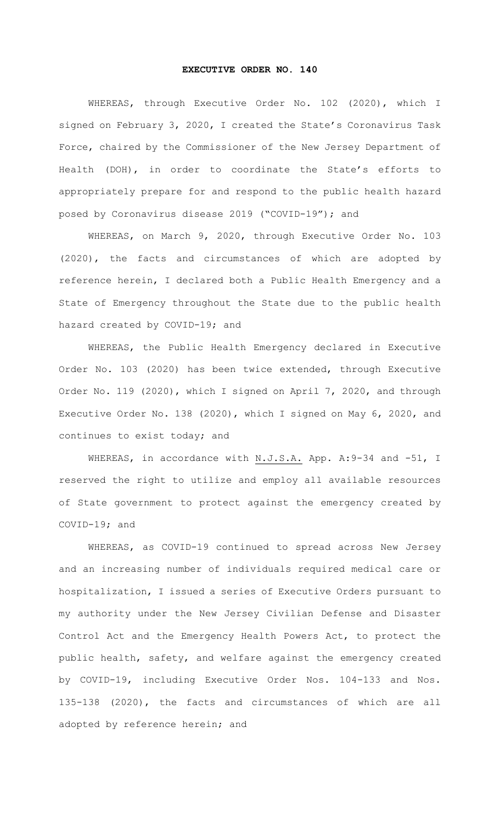## **EXECUTIVE ORDER NO. 140**

WHEREAS, through Executive Order No. 102 (2020), which I signed on February 3, 2020, I created the State's Coronavirus Task Force, chaired by the Commissioner of the New Jersey Department of Health (DOH), in order to coordinate the State's efforts to appropriately prepare for and respond to the public health hazard posed by Coronavirus disease 2019 ("COVID-19"); and

WHEREAS, on March 9, 2020, through Executive Order No. 103 (2020), the facts and circumstances of which are adopted by reference herein, I declared both a Public Health Emergency and a State of Emergency throughout the State due to the public health hazard created by COVID-19; and

WHEREAS, the Public Health Emergency declared in Executive Order No. 103 (2020) has been twice extended, through Executive Order No. 119 (2020), which I signed on April 7, 2020, and through Executive Order No. 138 (2020), which I signed on May 6, 2020, and continues to exist today; and

WHEREAS, in accordance with N.J.S.A. App. A: 9-34 and -51, I reserved the right to utilize and employ all available resources of State government to protect against the emergency created by COVID-19; and

WHEREAS, as COVID-19 continued to spread across New Jersey and an increasing number of individuals required medical care or hospitalization, I issued a series of Executive Orders pursuant to my authority under the New Jersey Civilian Defense and Disaster Control Act and the Emergency Health Powers Act, to protect the public health, safety, and welfare against the emergency created by COVID-19, including Executive Order Nos. 104-133 and Nos. 135-138 (2020), the facts and circumstances of which are all adopted by reference herein; and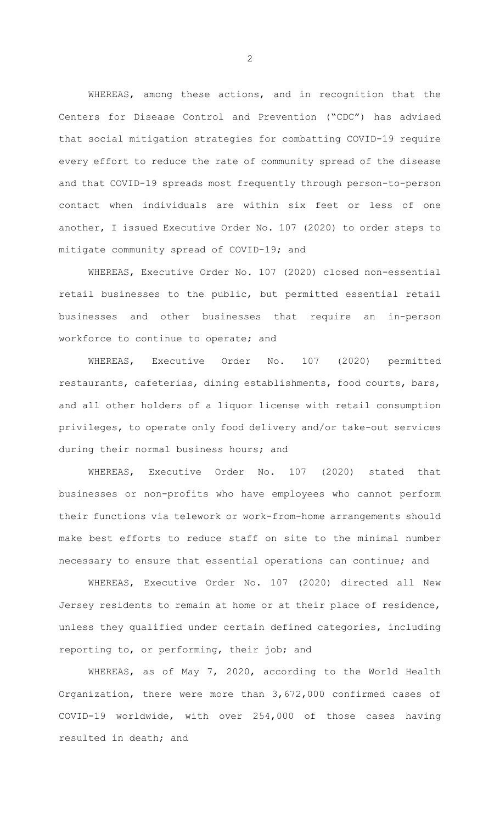WHEREAS, among these actions, and in recognition that the Centers for Disease Control and Prevention ("CDC") has advised that social mitigation strategies for combatting COVID-19 require every effort to reduce the rate of community spread of the disease and that COVID-19 spreads most frequently through person-to-person contact when individuals are within six feet or less of one another, I issued Executive Order No. 107 (2020) to order steps to mitigate community spread of COVID-19; and

WHEREAS, Executive Order No. 107 (2020) closed non-essential retail businesses to the public, but permitted essential retail businesses and other businesses that require an in-person workforce to continue to operate; and

WHEREAS, Executive Order No. 107 (2020) permitted restaurants, cafeterias, dining establishments, food courts, bars, and all other holders of a liquor license with retail consumption privileges, to operate only food delivery and/or take-out services during their normal business hours; and

WHEREAS, Executive Order No. 107 (2020) stated that businesses or non-profits who have employees who cannot perform their functions via telework or work-from-home arrangements should make best efforts to reduce staff on site to the minimal number necessary to ensure that essential operations can continue; and

WHEREAS, Executive Order No. 107 (2020) directed all New Jersey residents to remain at home or at their place of residence, unless they qualified under certain defined categories, including reporting to, or performing, their job; and

WHEREAS, as of May 7, 2020, according to the World Health Organization, there were more than 3,672,000 confirmed cases of COVID-19 worldwide, with over 254,000 of those cases having resulted in death; and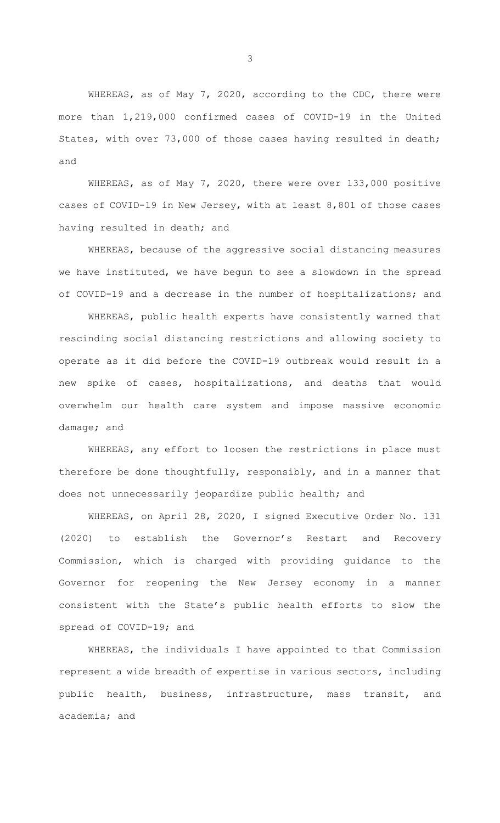WHEREAS, as of May 7, 2020, according to the CDC, there were more than 1,219,000 confirmed cases of COVID-19 in the United States, with over 73,000 of those cases having resulted in death; and

WHEREAS, as of May 7, 2020, there were over 133,000 positive cases of COVID-19 in New Jersey, with at least 8,801 of those cases having resulted in death; and

 WHEREAS, because of the aggressive social distancing measures we have instituted, we have begun to see a slowdown in the spread of COVID-19 and a decrease in the number of hospitalizations; and

 WHEREAS, public health experts have consistently warned that rescinding social distancing restrictions and allowing society to operate as it did before the COVID-19 outbreak would result in a new spike of cases, hospitalizations, and deaths that would overwhelm our health care system and impose massive economic damage; and

 WHEREAS, any effort to loosen the restrictions in place must therefore be done thoughtfully, responsibly, and in a manner that does not unnecessarily jeopardize public health; and

 WHEREAS, on April 28, 2020, I signed Executive Order No. 131 (2020) to establish the Governor's Restart and Recovery Commission, which is charged with providing guidance to the Governor for reopening the New Jersey economy in a manner consistent with the State's public health efforts to slow the spread of COVID-19; and

WHEREAS, the individuals I have appointed to that Commission represent a wide breadth of expertise in various sectors, including public health, business, infrastructure, mass transit, and academia; and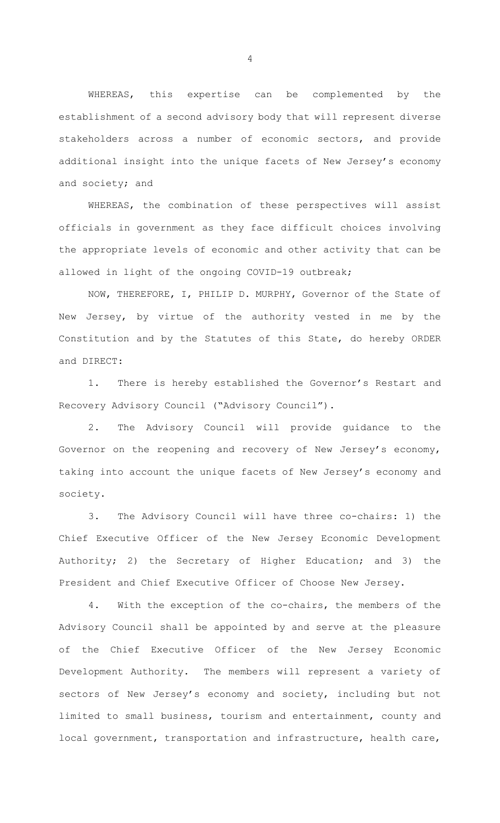WHEREAS, this expertise can be complemented by the establishment of a second advisory body that will represent diverse stakeholders across a number of economic sectors, and provide additional insight into the unique facets of New Jersey's economy and society; and

WHEREAS, the combination of these perspectives will assist officials in government as they face difficult choices involving the appropriate levels of economic and other activity that can be allowed in light of the ongoing COVID-19 outbreak;

NOW, THEREFORE, I, PHILIP D. MURPHY, Governor of the State of New Jersey, by virtue of the authority vested in me by the Constitution and by the Statutes of this State, do hereby ORDER and DIRECT:

1. There is hereby established the Governor's Restart and Recovery Advisory Council ("Advisory Council").

2. The Advisory Council will provide guidance to the Governor on the reopening and recovery of New Jersey's economy, taking into account the unique facets of New Jersey's economy and society.

3. The Advisory Council will have three co-chairs: 1) the Chief Executive Officer of the New Jersey Economic Development Authority; 2) the Secretary of Higher Education; and 3) the President and Chief Executive Officer of Choose New Jersey.

4. With the exception of the co-chairs, the members of the Advisory Council shall be appointed by and serve at the pleasure of the Chief Executive Officer of the New Jersey Economic Development Authority. The members will represent a variety of sectors of New Jersey's economy and society, including but not limited to small business, tourism and entertainment, county and local government, transportation and infrastructure, health care,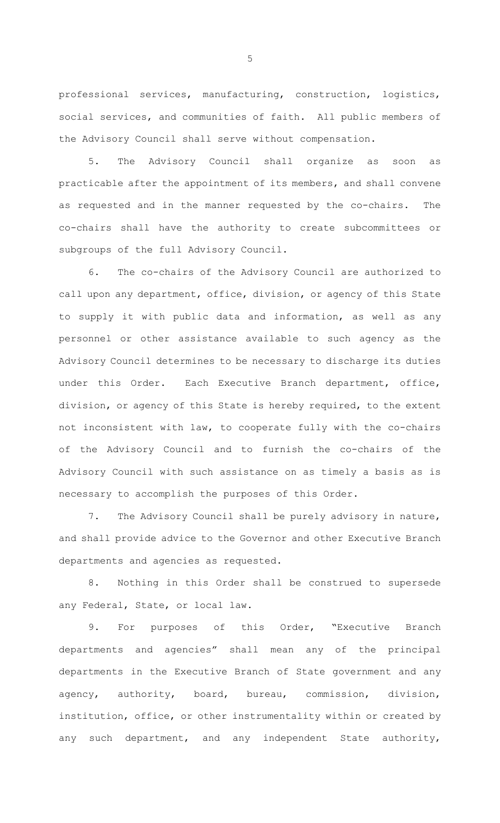professional services, manufacturing, construction, logistics, social services, and communities of faith. All public members of the Advisory Council shall serve without compensation.

5. The Advisory Council shall organize as soon as practicable after the appointment of its members, and shall convene as requested and in the manner requested by the co-chairs. The co-chairs shall have the authority to create subcommittees or subgroups of the full Advisory Council.

6. The co-chairs of the Advisory Council are authorized to call upon any department, office, division, or agency of this State to supply it with public data and information, as well as any personnel or other assistance available to such agency as the Advisory Council determines to be necessary to discharge its duties under this Order. Each Executive Branch department, office, division, or agency of this State is hereby required, to the extent not inconsistent with law, to cooperate fully with the co-chairs of the Advisory Council and to furnish the co-chairs of the Advisory Council with such assistance on as timely a basis as is necessary to accomplish the purposes of this Order.

7. The Advisory Council shall be purely advisory in nature, and shall provide advice to the Governor and other Executive Branch departments and agencies as requested.

8. Nothing in this Order shall be construed to supersede any Federal, State, or local law.

9. For purposes of this Order, "Executive Branch departments and agencies" shall mean any of the principal departments in the Executive Branch of State government and any agency, authority, board, bureau, commission, division, institution, office, or other instrumentality within or created by any such department, and any independent State authority,